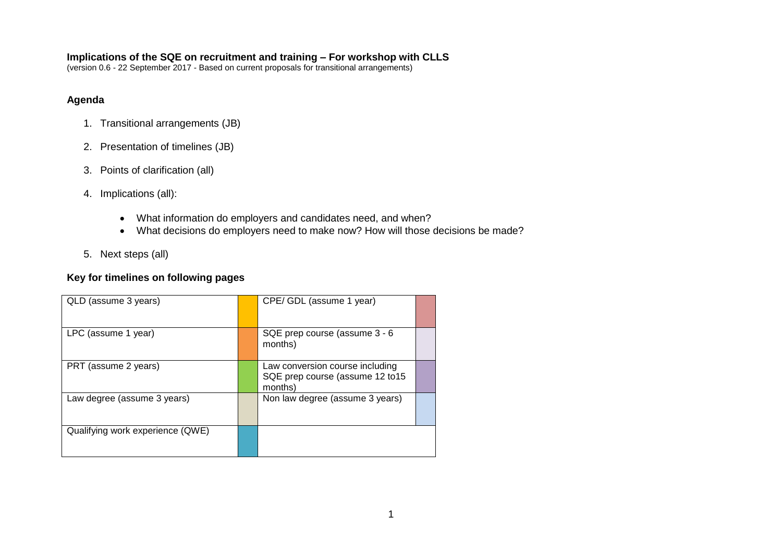#### **Implications of the SQE on recruitment and training – For workshop with CLLS**

(version 0.6 - 22 September 2017 - Based on current proposals for transitional arrangements)

#### **Agenda**

- 1. Transitional arrangements (JB)
- 2. Presentation of timelines (JB)
- 3. Points of clarification (all)
- 4. Implications (all):
	- What information do employers and candidates need, and when?
	- What decisions do employers need to make now? How will those decisions be made?
- 5. Next steps (all)

### **Key for timelines on following pages**

| QLD (assume 3 years)             | CPE/ GDL (assume 1 year)                                                      |  |
|----------------------------------|-------------------------------------------------------------------------------|--|
| LPC (assume 1 year)              | SQE prep course (assume 3 - 6<br>months)                                      |  |
| PRT (assume 2 years)             | Law conversion course including<br>SQE prep course (assume 12 to15<br>months) |  |
| Law degree (assume 3 years)      | Non law degree (assume 3 years)                                               |  |
| Qualifying work experience (QWE) |                                                                               |  |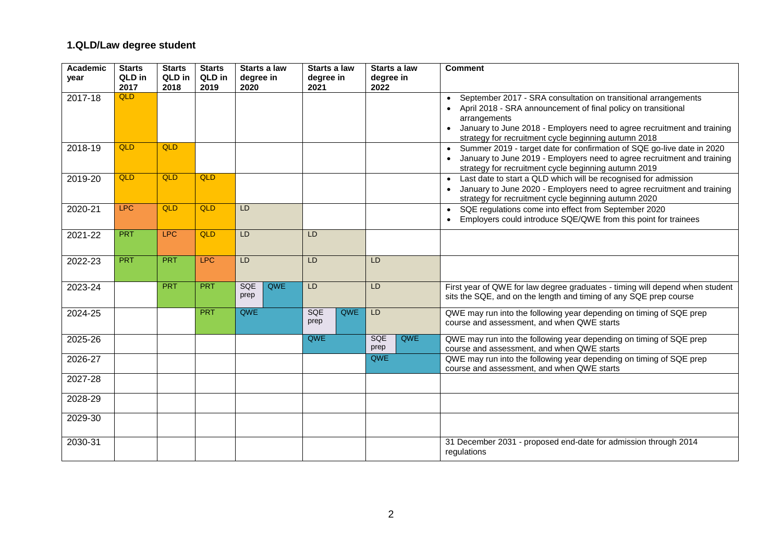## **1.QLD/Law degree student**

| Academic<br>year | <b>Starts</b><br>QLD in | <b>Starts</b><br>QLD in | <b>Starts</b><br>QLD in | <b>Starts a law</b><br>degree in | Starts a law<br>degree in |     | Starts a law<br>degree in |     | <b>Comment</b>                                                                                                                                                                                                                                                                                    |  |  |
|------------------|-------------------------|-------------------------|-------------------------|----------------------------------|---------------------------|-----|---------------------------|-----|---------------------------------------------------------------------------------------------------------------------------------------------------------------------------------------------------------------------------------------------------------------------------------------------------|--|--|
|                  | 2017                    | 2018                    | 2019                    | 2020                             | 2021                      |     | 2022                      |     |                                                                                                                                                                                                                                                                                                   |  |  |
| 2017-18          | <b>QLD</b>              |                         |                         |                                  |                           |     |                           |     | September 2017 - SRA consultation on transitional arrangements<br>April 2018 - SRA announcement of final policy on transitional<br>$\bullet$<br>arrangements<br>• January to June 2018 - Employers need to agree recruitment and training<br>strategy for recruitment cycle beginning autumn 2018 |  |  |
| 2018-19          | <b>QLD</b>              | <b>QLD</b>              |                         |                                  |                           |     |                           |     | Summer 2019 - target date for confirmation of SQE go-live date in 2020<br>$\bullet$<br>January to June 2019 - Employers need to agree recruitment and training<br>strategy for recruitment cycle beginning autumn 2019                                                                            |  |  |
| 2019-20          | QLD                     | QLD                     | <b>QLD</b>              |                                  |                           |     |                           |     | Last date to start a QLD which will be recognised for admission<br>January to June 2020 - Employers need to agree recruitment and training<br>strategy for recruitment cycle beginning autumn 2020                                                                                                |  |  |
| 2020-21          | <b>LPC</b>              | QLD                     | QLD                     | LD                               |                           |     |                           |     | SQE regulations come into effect from September 2020<br>$\bullet$<br>Employers could introduce SQE/QWE from this point for trainees<br>$\bullet$                                                                                                                                                  |  |  |
| 2021-22          | <b>PRT</b>              | <b>LPC</b>              | <b>QLD</b>              | LD                               | LD                        |     |                           |     |                                                                                                                                                                                                                                                                                                   |  |  |
| 2022-23          | <b>PRT</b>              | <b>PRT</b>              | <b>LPC</b>              | LD                               | LD                        |     | <b>LD</b>                 |     |                                                                                                                                                                                                                                                                                                   |  |  |
| 2023-24          |                         | <b>PRT</b>              | <b>PRT</b>              | QWE<br><b>SQE</b><br>prep        | LD                        |     | <b>LD</b>                 |     | First year of QWE for law degree graduates - timing will depend when student<br>sits the SQE, and on the length and timing of any SQE prep course                                                                                                                                                 |  |  |
| 2024-25          |                         |                         | <b>PRT</b>              | QWE                              | <b>SQE</b><br>prep        | QWE | LD                        |     | QWE may run into the following year depending on timing of SQE prep<br>course and assessment, and when QWE starts                                                                                                                                                                                 |  |  |
| 2025-26          |                         |                         |                         |                                  | <b>QWE</b>                |     | <b>SQE</b><br>prep        | QWE | QWE may run into the following year depending on timing of SQE prep<br>course and assessment, and when QWE starts                                                                                                                                                                                 |  |  |
| 2026-27          |                         |                         |                         |                                  |                           |     | <b>OWE</b>                |     | QWE may run into the following year depending on timing of SQE prep<br>course and assessment, and when QWE starts                                                                                                                                                                                 |  |  |
| 2027-28          |                         |                         |                         |                                  |                           |     |                           |     |                                                                                                                                                                                                                                                                                                   |  |  |
| 2028-29          |                         |                         |                         |                                  |                           |     |                           |     |                                                                                                                                                                                                                                                                                                   |  |  |
| 2029-30          |                         |                         |                         |                                  |                           |     |                           |     |                                                                                                                                                                                                                                                                                                   |  |  |
| 2030-31          |                         |                         |                         |                                  |                           |     |                           |     | 31 December 2031 - proposed end-date for admission through 2014<br>regulations                                                                                                                                                                                                                    |  |  |